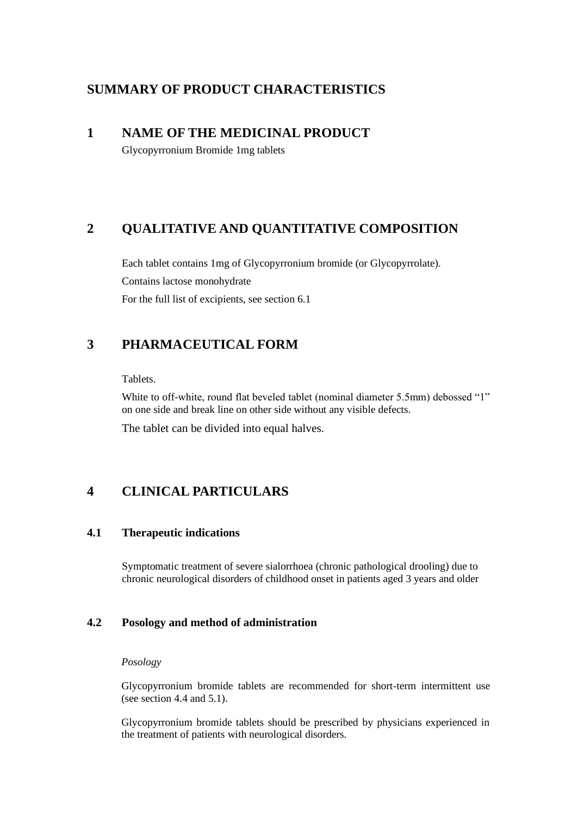# **SUMMARY OF PRODUCT CHARACTERISTICS**

# **1 NAME OF THE MEDICINAL PRODUCT**

Glycopyrronium Bromide 1mg tablets

# **2 QUALITATIVE AND QUANTITATIVE COMPOSITION**

Each tablet contains 1mg of Glycopyrronium bromide (or Glycopyrrolate). Contains lactose monohydrate For the full list of excipients, see section 6.1

# **3 PHARMACEUTICAL FORM**

Tablets.

White to off-white, round flat beveled tablet (nominal diameter 5.5mm) debossed "1" on one side and break line on other side without any visible defects.

The tablet can be divided into equal halves.

# **4 CLINICAL PARTICULARS**

# **4.1 Therapeutic indications**

Symptomatic treatment of severe sialorrhoea (chronic pathological drooling) due to chronic neurological disorders of childhood onset in patients aged 3 years and older

# **4.2 Posology and method of administration**

# *Posology*

Glycopyrronium bromide tablets are recommended for short-term intermittent use (see section 4.4 and 5.1).

Glycopyrronium bromide tablets should be prescribed by physicians experienced in the treatment of patients with neurological disorders.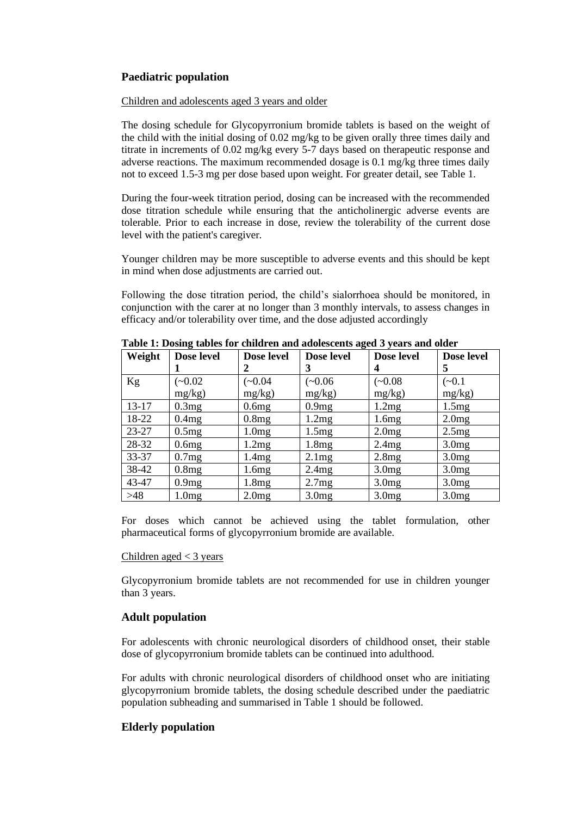# **Paediatric population**

# Children and adolescents aged 3 years and older

The dosing schedule for Glycopyrronium bromide tablets is based on the weight of the child with the initial dosing of 0.02 mg/kg to be given orally three times daily and titrate in increments of 0.02 mg/kg every 5-7 days based on therapeutic response and adverse reactions. The maximum recommended dosage is 0.1 mg/kg three times daily not to exceed 1.5-3 mg per dose based upon weight. For greater detail, see Table 1.

During the four-week titration period, dosing can be increased with the recommended dose titration schedule while ensuring that the anticholinergic adverse events are tolerable. Prior to each increase in dose, review the tolerability of the current dose level with the patient's caregiver.

Younger children may be more susceptible to adverse events and this should be kept in mind when dose adjustments are carried out.

Following the dose titration period, the child's sialorrhoea should be monitored, in conjunction with the carer at no longer than 3 monthly intervals, to assess changes in efficacy and/or tolerability over time, and the dose adjusted accordingly

| Weight    | Dose level | Dose level | Dose level        | Dose level        | Dose level        |
|-----------|------------|------------|-------------------|-------------------|-------------------|
|           |            |            | 3                 | 4                 | 5                 |
| Kg        | $(-0.02)$  | $(-0.04)$  | $(-0.06)$         | $(-0.08)$         | $(-0.1)$          |
|           | $mg/kg$ )  | $mg/kg$ )  | $mg/kg$ )         | mg/kg)            | mg/kg)            |
| $13 - 17$ | 0.3mg      | 0.6mg      | 0.9mg             | 1.2mg             | 1.5mg             |
| 18-22     | 0.4mg      | 0.8mg      | 1.2mg             | 1.6mg             | 2.0mg             |
| $23 - 27$ | 0.5mg      | 1.0mg      | 1.5mg             | 2.0mg             | 2.5mg             |
| 28-32     | 0.6mg      | 1.2mg      | 1.8mg             | 2.4mg             | 3.0mg             |
| $33 - 37$ | 0.7mg      | 1.4mg      | 2.1mg             | 2.8mg             | 3.0 <sub>mg</sub> |
| 38-42     | 0.8mg      | 1.6mg      | 2.4mg             | 3.0 <sub>mg</sub> | 3.0 <sub>mg</sub> |
| 43-47     | 0.9mg      | 1.8mg      | 2.7mg             | 3.0mg             | 3.0 <sub>mg</sub> |
| >48       | 1.0mg      | 2.0mg      | 3.0 <sub>mg</sub> | 3.0 <sub>mg</sub> | 3.0 <sub>mg</sub> |

**Table 1: Dosing tables for children and adolescents aged 3 years and older**

For doses which cannot be achieved using the tablet formulation, other pharmaceutical forms of glycopyrronium bromide are available.

## Children aged  $<$  3 years

Glycopyrronium bromide tablets are not recommended for use in children younger than 3 years.

# **Adult population**

For adolescents with chronic neurological disorders of childhood onset, their stable dose of glycopyrronium bromide tablets can be continued into adulthood.

For adults with chronic neurological disorders of childhood onset who are initiating glycopyrronium bromide tablets, the dosing schedule described under the paediatric population subheading and summarised in Table 1 should be followed.

# **Elderly population**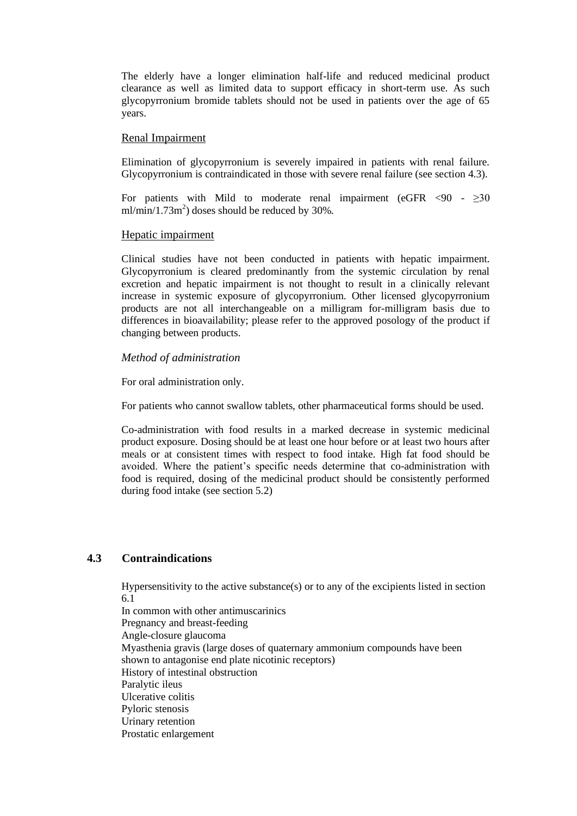The elderly have a longer elimination half-life and reduced medicinal product clearance as well as limited data to support efficacy in short-term use. As such glycopyrronium bromide tablets should not be used in patients over the age of 65 years.

#### Renal Impairment

Elimination of glycopyrronium is severely impaired in patients with renal failure. Glycopyrronium is contraindicated in those with severe renal failure (see section 4.3).

For patients with Mild to moderate renal impairment (eGFR  $\langle 90 - \rangle 30$  $ml/min/1.73m<sup>2</sup>$ ) doses should be reduced by 30%.

#### Hepatic impairment

Clinical studies have not been conducted in patients with hepatic impairment. Glycopyrronium is cleared predominantly from the systemic circulation by renal excretion and hepatic impairment is not thought to result in a clinically relevant increase in systemic exposure of glycopyrronium. Other licensed glycopyrronium products are not all interchangeable on a milligram for-milligram basis due to differences in bioavailability; please refer to the approved posology of the product if changing between products.

## *Method of administration*

For oral administration only.

For patients who cannot swallow tablets, other pharmaceutical forms should be used.

Co-administration with food results in a marked decrease in systemic medicinal product exposure. Dosing should be at least one hour before or at least two hours after meals or at consistent times with respect to food intake. High fat food should be avoided. Where the patient's specific needs determine that co-administration with food is required, dosing of the medicinal product should be consistently performed during food intake (see section 5.2)

# **4.3 Contraindications**

Hypersensitivity to the active substance(s) or to any of the excipients listed in section 6.1

In common with other antimuscarinics Pregnancy and breast-feeding Angle-closure glaucoma Myasthenia gravis (large doses of quaternary ammonium compounds have been shown to antagonise end plate nicotinic receptors) History of intestinal obstruction Paralytic ileus Ulcerative colitis Pyloric stenosis Urinary retention Prostatic enlargement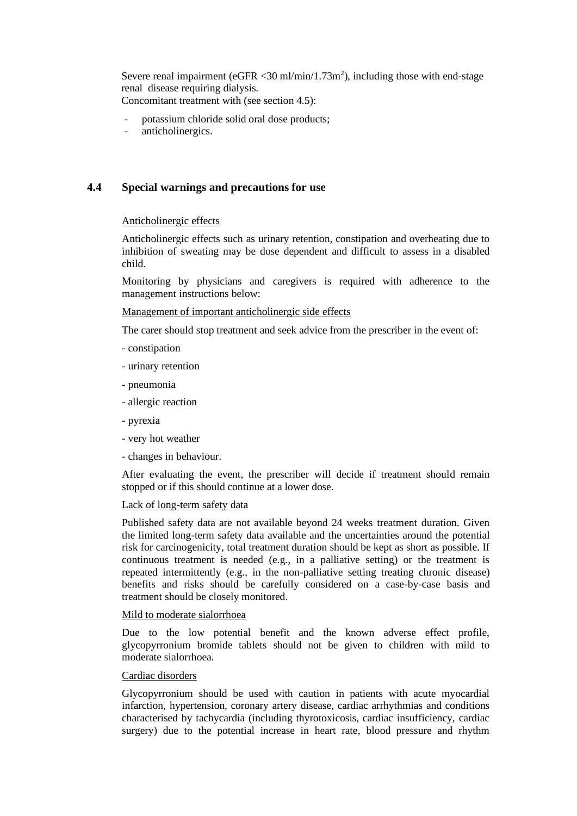Severe renal impairment (eGFR < 30 ml/min/ $1.73$ m<sup>2</sup>), including those with end-stage renal disease requiring dialysis.

Concomitant treatment with (see section 4.5):

- potassium chloride solid oral dose products;
- anticholinergics.

# **4.4 Special warnings and precautions for use**

## Anticholinergic effects

Anticholinergic effects such as urinary retention, constipation and overheating due to inhibition of sweating may be dose dependent and difficult to assess in a disabled child.

Monitoring by physicians and caregivers is required with adherence to the management instructions below:

## Management of important anticholinergic side effects

The carer should stop treatment and seek advice from the prescriber in the event of:

- constipation
- urinary retention
- pneumonia
- allergic reaction
- pyrexia
- very hot weather
- changes in behaviour.

After evaluating the event, the prescriber will decide if treatment should remain stopped or if this should continue at a lower dose.

## Lack of long-term safety data

Published safety data are not available beyond 24 weeks treatment duration. Given the limited long-term safety data available and the uncertainties around the potential risk for carcinogenicity, total treatment duration should be kept as short as possible. If continuous treatment is needed (e.g., in a palliative setting) or the treatment is repeated intermittently (e.g., in the non-palliative setting treating chronic disease) benefits and risks should be carefully considered on a case-by-case basis and treatment should be closely monitored.

## Mild to moderate sialorrhoea

Due to the low potential benefit and the known adverse effect profile, glycopyrronium bromide tablets should not be given to children with mild to moderate sialorrhoea.

## Cardiac disorders

Glycopyrronium should be used with caution in patients with acute myocardial infarction, hypertension, coronary artery disease, cardiac arrhythmias and conditions characterised by tachycardia (including thyrotoxicosis, cardiac insufficiency, cardiac surgery) due to the potential increase in heart rate, blood pressure and rhythm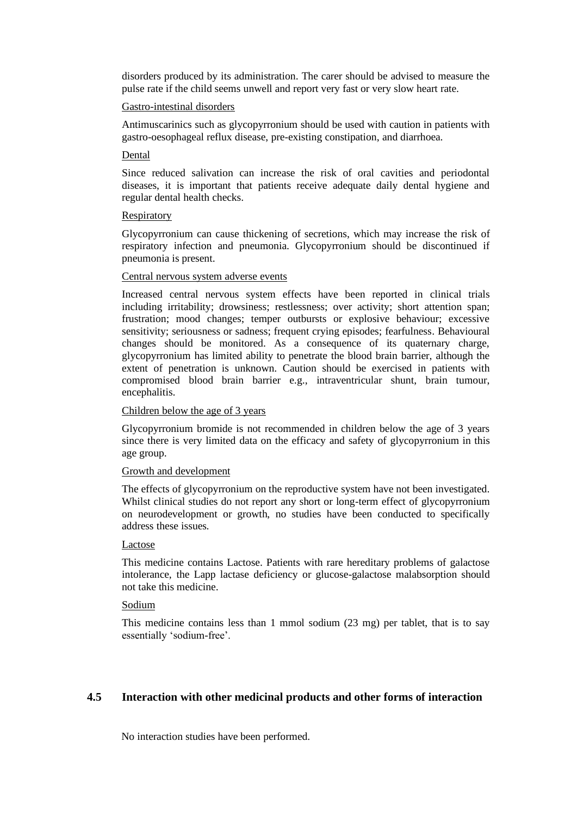disorders produced by its administration. The carer should be advised to measure the pulse rate if the child seems unwell and report very fast or very slow heart rate.

#### Gastro-intestinal disorders

Antimuscarinics such as glycopyrronium should be used with caution in patients with gastro-oesophageal reflux disease, pre-existing constipation, and diarrhoea.

#### Dental

Since reduced salivation can increase the risk of oral cavities and periodontal diseases, it is important that patients receive adequate daily dental hygiene and regular dental health checks.

#### **Respiratory**

Glycopyrronium can cause thickening of secretions, which may increase the risk of respiratory infection and pneumonia. Glycopyrronium should be discontinued if pneumonia is present.

#### Central nervous system adverse events

Increased central nervous system effects have been reported in clinical trials including irritability; drowsiness; restlessness; over activity; short attention span; frustration; mood changes; temper outbursts or explosive behaviour; excessive sensitivity; seriousness or sadness; frequent crying episodes; fearfulness. Behavioural changes should be monitored. As a consequence of its quaternary charge, glycopyrronium has limited ability to penetrate the blood brain barrier, although the extent of penetration is unknown. Caution should be exercised in patients with compromised blood brain barrier e.g., intraventricular shunt, brain tumour, encephalitis.

# Children below the age of 3 years

Glycopyrronium bromide is not recommended in children below the age of 3 years since there is very limited data on the efficacy and safety of glycopyrronium in this age group.

## Growth and development

The effects of glycopyrronium on the reproductive system have not been investigated. Whilst clinical studies do not report any short or long-term effect of glycopyrronium on neurodevelopment or growth, no studies have been conducted to specifically address these issues.

## Lactose

This medicine contains Lactose. Patients with rare hereditary problems of galactose intolerance, the Lapp lactase deficiency or glucose-galactose malabsorption should not take this medicine.

# Sodium

This medicine contains less than 1 mmol sodium (23 mg) per tablet, that is to say essentially 'sodium-free'.

# **4.5 Interaction with other medicinal products and other forms of interaction**

No interaction studies have been performed.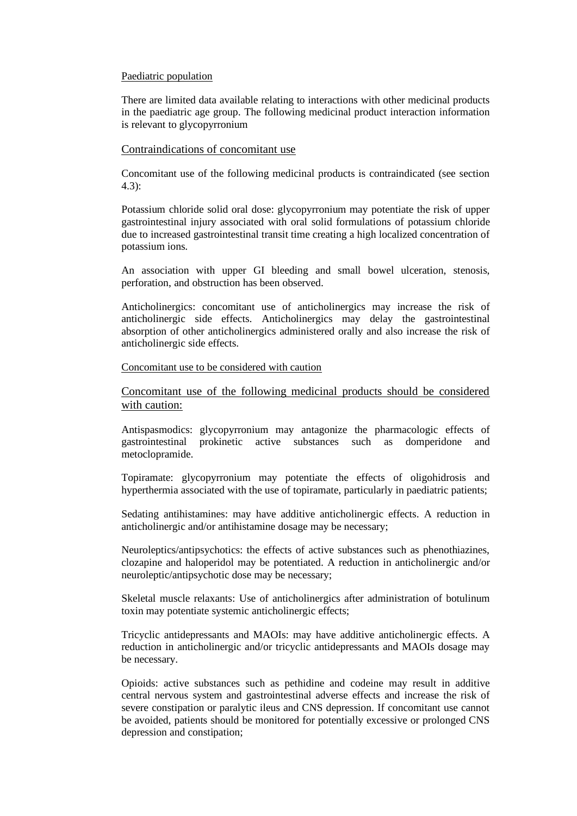#### Paediatric population

There are limited data available relating to interactions with other medicinal products in the paediatric age group. The following medicinal product interaction information is relevant to glycopyrronium

#### Contraindications of concomitant use

Concomitant use of the following medicinal products is contraindicated (see section 4.3):

Potassium chloride solid oral dose: glycopyrronium may potentiate the risk of upper gastrointestinal injury associated with oral solid formulations of potassium chloride due to increased gastrointestinal transit time creating a high localized concentration of potassium ions.

An association with upper GI bleeding and small bowel ulceration, stenosis, perforation, and obstruction has been observed.

Anticholinergics: concomitant use of anticholinergics may increase the risk of anticholinergic side effects. Anticholinergics may delay the gastrointestinal absorption of other anticholinergics administered orally and also increase the risk of anticholinergic side effects.

#### Concomitant use to be considered with caution

Concomitant use of the following medicinal products should be considered with caution:

Antispasmodics: glycopyrronium may antagonize the pharmacologic effects of gastrointestinal prokinetic active substances such as domperidone and metoclopramide.

Topiramate: glycopyrronium may potentiate the effects of oligohidrosis and hyperthermia associated with the use of topiramate, particularly in paediatric patients;

Sedating antihistamines: may have additive anticholinergic effects. A reduction in anticholinergic and/or antihistamine dosage may be necessary;

Neuroleptics/antipsychotics: the effects of active substances such as phenothiazines, clozapine and haloperidol may be potentiated. A reduction in anticholinergic and/or neuroleptic/antipsychotic dose may be necessary;

Skeletal muscle relaxants: Use of anticholinergics after administration of botulinum toxin may potentiate systemic anticholinergic effects;

Tricyclic antidepressants and MAOIs: may have additive anticholinergic effects. A reduction in anticholinergic and/or tricyclic antidepressants and MAOIs dosage may be necessary.

Opioids: active substances such as pethidine and codeine may result in additive central nervous system and gastrointestinal adverse effects and increase the risk of severe constipation or paralytic ileus and CNS depression. If concomitant use cannot be avoided, patients should be monitored for potentially excessive or prolonged CNS depression and constipation;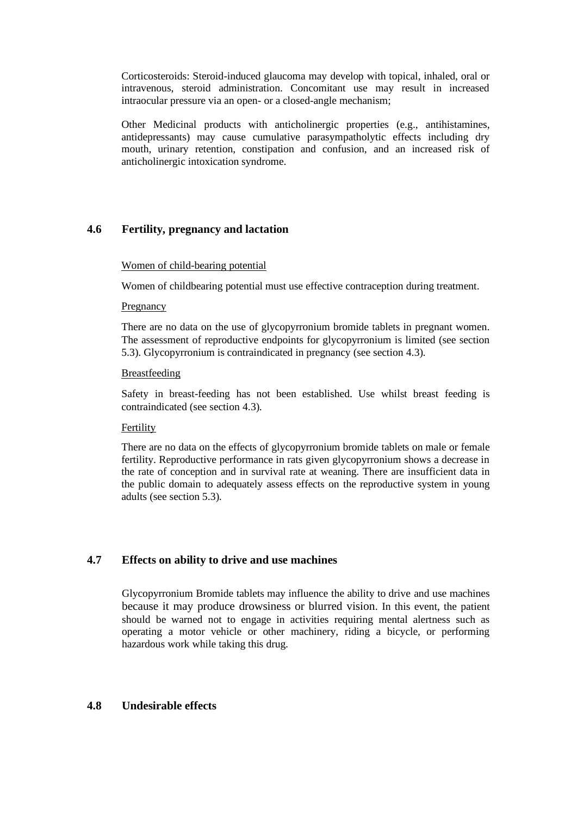Corticosteroids: Steroid-induced glaucoma may develop with topical, inhaled, oral or intravenous, steroid administration. Concomitant use may result in increased intraocular pressure via an open- or a closed-angle mechanism;

Other Medicinal products with anticholinergic properties (e.g., antihistamines, antidepressants) may cause cumulative parasympatholytic effects including dry mouth, urinary retention, constipation and confusion, and an increased risk of anticholinergic intoxication syndrome.

# **4.6 Fertility, pregnancy and lactation**

# Women of child-bearing potential

Women of childbearing potential must use effective contraception during treatment.

## Pregnancy

There are no data on the use of glycopyrronium bromide tablets in pregnant women. The assessment of reproductive endpoints for glycopyrronium is limited (see section 5.3). Glycopyrronium is contraindicated in pregnancy (see section 4.3).

# **Breastfeeding**

Safety in breast-feeding has not been established. Use whilst breast feeding is contraindicated (see section 4.3).

## Fertility

There are no data on the effects of glycopyrronium bromide tablets on male or female fertility. Reproductive performance in rats given glycopyrronium shows a decrease in the rate of conception and in survival rate at weaning. There are insufficient data in the public domain to adequately assess effects on the reproductive system in young adults (see section 5.3).

# **4.7 Effects on ability to drive and use machines**

Glycopyrronium Bromide tablets may influence the ability to drive and use machines because it may produce drowsiness or blurred vision. In this event, the patient should be warned not to engage in activities requiring mental alertness such as operating a motor vehicle or other machinery, riding a bicycle, or performing hazardous work while taking this drug.

# **4.8 Undesirable effects**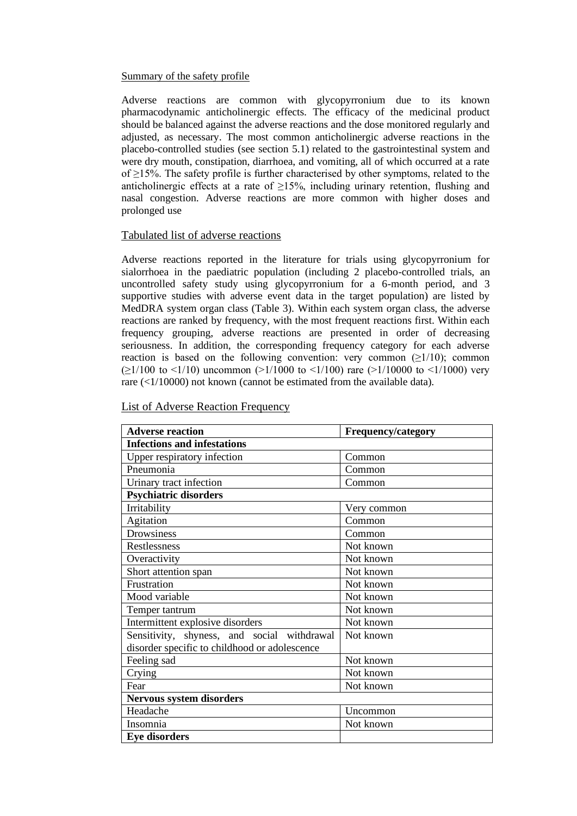#### Summary of the safety profile

Adverse reactions are common with glycopyrronium due to its known pharmacodynamic anticholinergic effects. The efficacy of the medicinal product should be balanced against the adverse reactions and the dose monitored regularly and adjusted, as necessary. The most common anticholinergic adverse reactions in the placebo-controlled studies (see section 5.1) related to the gastrointestinal system and were dry mouth, constipation, diarrhoea, and vomiting, all of which occurred at a rate of ≥15%. The safety profile is further characterised by other symptoms, related to the anticholinergic effects at a rate of  $\geq$ 15%, including urinary retention, flushing and nasal congestion. Adverse reactions are more common with higher doses and prolonged use

## Tabulated list of adverse reactions

Adverse reactions reported in the literature for trials using glycopyrronium for sialorrhoea in the paediatric population (including 2 placebo-controlled trials, an uncontrolled safety study using glycopyrronium for a 6-month period, and 3 supportive studies with adverse event data in the target population) are listed by MedDRA system organ class (Table 3). Within each system organ class, the adverse reactions are ranked by frequency, with the most frequent reactions first. Within each frequency grouping, adverse reactions are presented in order of decreasing seriousness. In addition, the corresponding frequency category for each adverse reaction is based on the following convention: very common  $(21/10)$ ; common  $(\geq 1/100$  to <1/10) uncommon (>1/1000 to <1/100) rare (>1/10000 to <1/1000) very rare (<1/10000) not known (cannot be estimated from the available data).

| <b>Adverse reaction</b>                       | <b>Frequency/category</b> |  |  |  |  |
|-----------------------------------------------|---------------------------|--|--|--|--|
| <b>Infections and infestations</b>            |                           |  |  |  |  |
| Upper respiratory infection                   | Common                    |  |  |  |  |
| Pneumonia                                     | Common                    |  |  |  |  |
| Urinary tract infection                       | Common                    |  |  |  |  |
| <b>Psychiatric disorders</b>                  |                           |  |  |  |  |
| Irritability                                  | Very common               |  |  |  |  |
| Agitation                                     | Common                    |  |  |  |  |
| Drowsiness                                    | Common                    |  |  |  |  |
| Restlessness                                  | Not known                 |  |  |  |  |
| Overactivity                                  | Not known                 |  |  |  |  |
| Short attention span                          | Not known                 |  |  |  |  |
| Frustration                                   | Not known                 |  |  |  |  |
| Mood variable                                 | Not known                 |  |  |  |  |
| Temper tantrum                                | Not known                 |  |  |  |  |
| Intermittent explosive disorders              | Not known                 |  |  |  |  |
| Sensitivity, shyness, and social withdrawal   | Not known                 |  |  |  |  |
| disorder specific to childhood or adolescence |                           |  |  |  |  |
| Feeling sad                                   | Not known                 |  |  |  |  |
| Crying                                        | Not known                 |  |  |  |  |
| Fear                                          | Not known                 |  |  |  |  |
| <b>Nervous system disorders</b>               |                           |  |  |  |  |
| Headache                                      | Uncommon                  |  |  |  |  |
| Insomnia                                      | Not known                 |  |  |  |  |
| <b>Eye disorders</b>                          |                           |  |  |  |  |

#### List of Adverse Reaction Frequency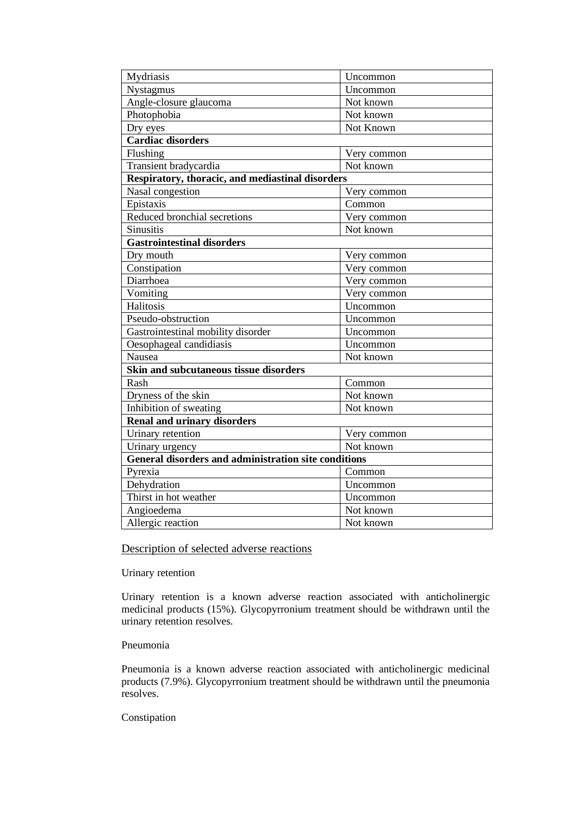| Mydriasis                                                   | Uncommon    |  |  |  |  |  |
|-------------------------------------------------------------|-------------|--|--|--|--|--|
| Nystagmus                                                   | Uncommon    |  |  |  |  |  |
| Angle-closure glaucoma                                      | Not known   |  |  |  |  |  |
| Photophobia                                                 | Not known   |  |  |  |  |  |
| Dry eyes                                                    | Not Known   |  |  |  |  |  |
| <b>Cardiac disorders</b>                                    |             |  |  |  |  |  |
| Flushing                                                    | Very common |  |  |  |  |  |
| Transient bradycardia                                       | Not known   |  |  |  |  |  |
| Respiratory, thoracic, and mediastinal disorders            |             |  |  |  |  |  |
| Nasal congestion                                            | Very common |  |  |  |  |  |
| Epistaxis                                                   | Common      |  |  |  |  |  |
| Reduced bronchial secretions                                | Very common |  |  |  |  |  |
| Sinusitis                                                   | Not known   |  |  |  |  |  |
| <b>Gastrointestinal disorders</b>                           |             |  |  |  |  |  |
| Dry mouth                                                   | Very common |  |  |  |  |  |
| Constipation                                                | Very common |  |  |  |  |  |
| Diarrhoea                                                   | Very common |  |  |  |  |  |
| Vomiting                                                    | Very common |  |  |  |  |  |
| Halitosis                                                   | Uncommon    |  |  |  |  |  |
| Pseudo-obstruction                                          | Uncommon    |  |  |  |  |  |
| Gastrointestinal mobility disorder                          | Uncommon    |  |  |  |  |  |
| Oesophageal candidiasis                                     | Uncommon    |  |  |  |  |  |
| Nausea                                                      | Not known   |  |  |  |  |  |
| Skin and subcutaneous tissue disorders                      |             |  |  |  |  |  |
| Rash                                                        | Common      |  |  |  |  |  |
| Dryness of the skin                                         | Not known   |  |  |  |  |  |
| Inhibition of sweating                                      | Not known   |  |  |  |  |  |
| <b>Renal and urinary disorders</b>                          |             |  |  |  |  |  |
| Urinary retention                                           | Very common |  |  |  |  |  |
| Urinary urgency                                             | Not known   |  |  |  |  |  |
| <b>General disorders and administration site conditions</b> |             |  |  |  |  |  |
| Pyrexia                                                     | Common      |  |  |  |  |  |
| Dehydration                                                 | Uncommon    |  |  |  |  |  |
| Thirst in hot weather                                       | Uncommon    |  |  |  |  |  |
| Angioedema                                                  | Not known   |  |  |  |  |  |
| Allergic reaction                                           | Not known   |  |  |  |  |  |

# Description of selected adverse reactions

# Urinary retention

Urinary retention is a known adverse reaction associated with anticholinergic medicinal products (15%). Glycopyrronium treatment should be withdrawn until the urinary retention resolves.

#### Pneumonia

Pneumonia is a known adverse reaction associated with anticholinergic medicinal products (7.9%). Glycopyrronium treatment should be withdrawn until the pneumonia resolves.

# Constipation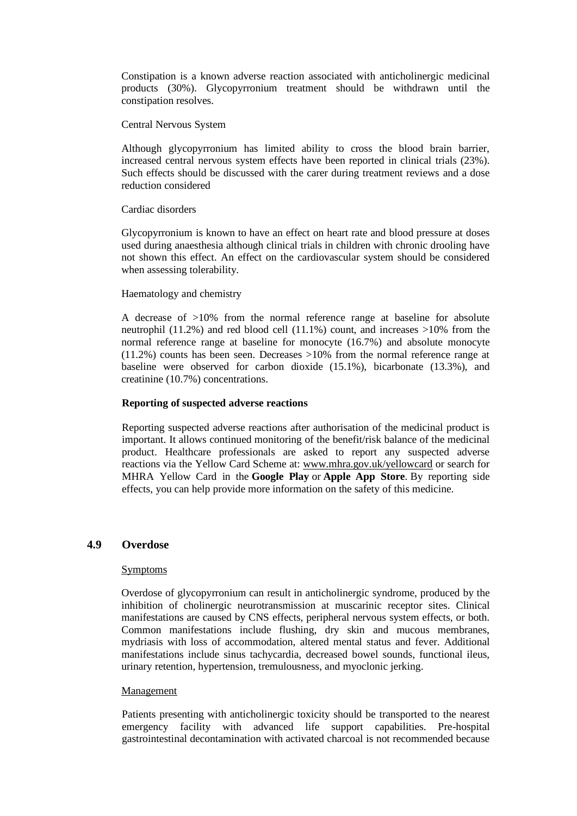Constipation is a known adverse reaction associated with anticholinergic medicinal products (30%). Glycopyrronium treatment should be withdrawn until the constipation resolves.

#### Central Nervous System

Although glycopyrronium has limited ability to cross the blood brain barrier, increased central nervous system effects have been reported in clinical trials (23%). Such effects should be discussed with the carer during treatment reviews and a dose reduction considered

## Cardiac disorders

Glycopyrronium is known to have an effect on heart rate and blood pressure at doses used during anaesthesia although clinical trials in children with chronic drooling have not shown this effect. An effect on the cardiovascular system should be considered when assessing tolerability.

## Haematology and chemistry

A decrease of >10% from the normal reference range at baseline for absolute neutrophil (11.2%) and red blood cell (11.1%) count, and increases >10% from the normal reference range at baseline for monocyte (16.7%) and absolute monocyte (11.2%) counts has been seen. Decreases >10% from the normal reference range at baseline were observed for carbon dioxide (15.1%), bicarbonate (13.3%), and creatinine (10.7%) concentrations.

## **Reporting of suspected adverse reactions**

Reporting suspected adverse reactions after authorisation of the medicinal product is important. It allows continued monitoring of the benefit/risk balance of the medicinal product. Healthcare professionals are asked to report any suspected adverse reactions via the Yellow Card Scheme at: [www.mhra.gov.uk/yellowcard](http://www.mhra.gov.uk/yellowcard) or search for MHRA Yellow Card in the **Google Play** or **Apple App Store**. By reporting side effects, you can help provide more information on the safety of this medicine.

## **4.9 Overdose**

#### Symptoms

Overdose of glycopyrronium can result in anticholinergic syndrome, produced by the inhibition of cholinergic neurotransmission at muscarinic receptor sites. Clinical manifestations are caused by CNS effects, peripheral nervous system effects, or both. Common manifestations include flushing, dry skin and mucous membranes, mydriasis with loss of accommodation, altered mental status and fever. Additional manifestations include sinus tachycardia, decreased bowel sounds, functional ileus, urinary retention, hypertension, tremulousness, and myoclonic jerking.

#### Management

Patients presenting with anticholinergic toxicity should be transported to the nearest emergency facility with advanced life support capabilities. Pre-hospital gastrointestinal decontamination with activated charcoal is not recommended because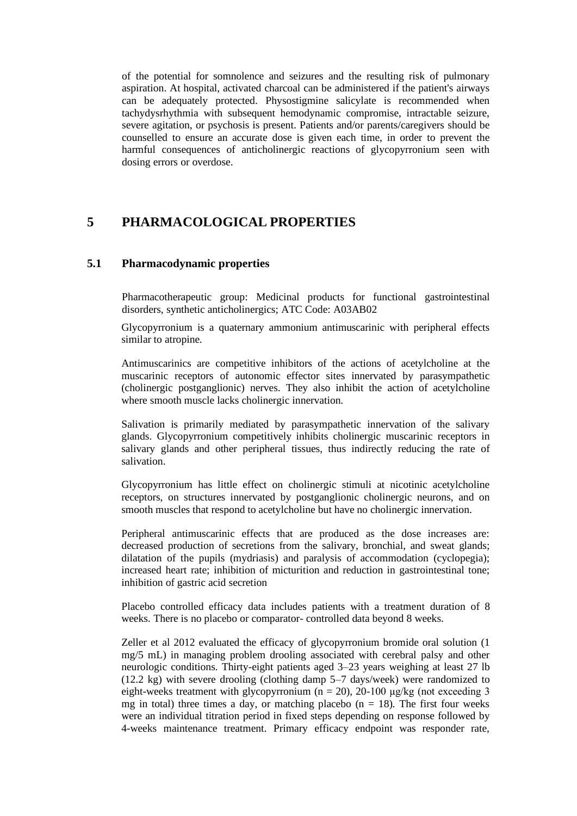of the potential for somnolence and seizures and the resulting risk of pulmonary aspiration. At hospital, activated charcoal can be administered if the patient's airways can be adequately protected. Physostigmine salicylate is recommended when tachydysrhythmia with subsequent hemodynamic compromise, intractable seizure, severe agitation, or psychosis is present. Patients and/or parents/caregivers should be counselled to ensure an accurate dose is given each time, in order to prevent the harmful consequences of anticholinergic reactions of glycopyrronium seen with dosing errors or overdose.

# **5 PHARMACOLOGICAL PROPERTIES**

# **5.1 Pharmacodynamic properties**

Pharmacotherapeutic group: Medicinal products for functional gastrointestinal disorders, synthetic anticholinergics; ATC Code: A03AB02

Glycopyrronium is a quaternary ammonium antimuscarinic with peripheral effects similar to atropine.

Antimuscarinics are competitive inhibitors of the actions of acetylcholine at the muscarinic receptors of autonomic effector sites innervated by parasympathetic (cholinergic postganglionic) nerves. They also inhibit the action of acetylcholine where smooth muscle lacks cholinergic innervation.

Salivation is primarily mediated by parasympathetic innervation of the salivary glands. Glycopyrronium competitively inhibits cholinergic muscarinic receptors in salivary glands and other peripheral tissues, thus indirectly reducing the rate of salivation.

Glycopyrronium has little effect on cholinergic stimuli at nicotinic acetylcholine receptors, on structures innervated by postganglionic cholinergic neurons, and on smooth muscles that respond to acetylcholine but have no cholinergic innervation.

Peripheral antimuscarinic effects that are produced as the dose increases are: decreased production of secretions from the salivary, bronchial, and sweat glands; dilatation of the pupils (mydriasis) and paralysis of accommodation (cyclopegia); increased heart rate; inhibition of micturition and reduction in gastrointestinal tone; inhibition of gastric acid secretion

Placebo controlled efficacy data includes patients with a treatment duration of 8 weeks. There is no placebo or comparator- controlled data beyond 8 weeks.

Zeller et al 2012 evaluated the efficacy of glycopyrronium bromide oral solution (1 mg/5 mL) in managing problem drooling associated with cerebral palsy and other neurologic conditions. Thirty-eight patients aged 3–23 years weighing at least 27 lb (12.2 kg) with severe drooling (clothing damp 5–7 days/week) were randomized to eight-weeks treatment with glycopyrronium ( $n = 20$ ), 20-100 μg/kg (not exceeding 3 mg in total) three times a day, or matching placebo  $(n = 18)$ . The first four weeks were an individual titration period in fixed steps depending on response followed by 4-weeks maintenance treatment. Primary efficacy endpoint was responder rate,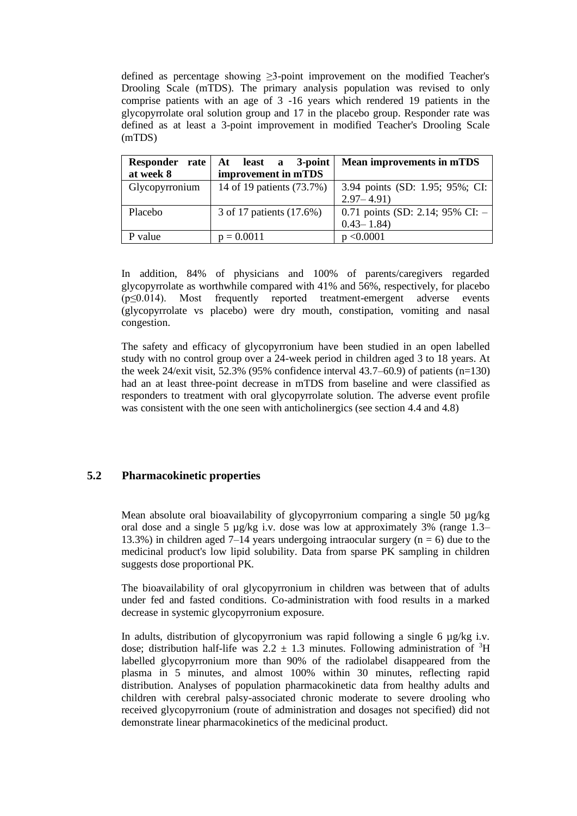defined as percentage showing ≥3-point improvement on the modified Teacher's Drooling Scale (mTDS). The primary analysis population was revised to only comprise patients with an age of 3 -16 years which rendered 19 patients in the glycopyrrolate oral solution group and 17 in the placebo group. Responder rate was defined as at least a 3-point improvement in modified Teacher's Drooling Scale (mTDS)

| Responder<br>rate | At least a<br>3-point     | <b>Mean improvements in mTDS</b>   |
|-------------------|---------------------------|------------------------------------|
| at week 8         | improvement in mTDS       |                                    |
| Glycopyrronium    | 14 of 19 patients (73.7%) | 3.94 points (SD: 1.95; 95%; CI:    |
|                   |                           | $2.97 - 4.91$                      |
| Placebo           | 3 of 17 patients (17.6%)  | 0.71 points (SD: 2.14; 95% CI: $-$ |
|                   |                           | $0.43 - 1.84$                      |
| value             | $p = 0.0011$              | p < 0.0001                         |

In addition, 84% of physicians and 100% of parents/caregivers regarded glycopyrrolate as worthwhile compared with 41% and 56%, respectively, for placebo (p≤0.014). Most frequently reported treatment-emergent adverse events (glycopyrrolate vs placebo) were dry mouth, constipation, vomiting and nasal congestion.

The safety and efficacy of glycopyrronium have been studied in an open labelled study with no control group over a 24-week period in children aged 3 to 18 years. At the week 24/exit visit, 52.3% (95% confidence interval 43.7–60.9) of patients (n=130) had an at least three-point decrease in mTDS from baseline and were classified as responders to treatment with oral glycopyrrolate solution. The adverse event profile was consistent with the one seen with anticholinergics (see section 4.4 and 4.8)

# **5.2 Pharmacokinetic properties**

Mean absolute oral bioavailability of glycopyrronium comparing a single 50  $\mu$ g/kg oral dose and a single 5  $\mu$ g/kg i.v. dose was low at approximately 3% (range 1.3– 13.3%) in children aged 7–14 years undergoing intraocular surgery ( $n = 6$ ) due to the medicinal product's low lipid solubility. Data from sparse PK sampling in children suggests dose proportional PK.

The bioavailability of oral glycopyrronium in children was between that of adults under fed and fasted conditions. Co-administration with food results in a marked decrease in systemic glycopyrronium exposure.

In adults, distribution of glycopyrronium was rapid following a single 6  $\mu$ g/kg i.v. dose; distribution half-life was  $2.2 \pm 1.3$  minutes. Following administration of <sup>3</sup>H labelled glycopyrronium more than 90% of the radiolabel disappeared from the plasma in 5 minutes, and almost 100% within 30 minutes, reflecting rapid distribution. Analyses of population pharmacokinetic data from healthy adults and children with cerebral palsy-associated chronic moderate to severe drooling who received glycopyrronium (route of administration and dosages not specified) did not demonstrate linear pharmacokinetics of the medicinal product.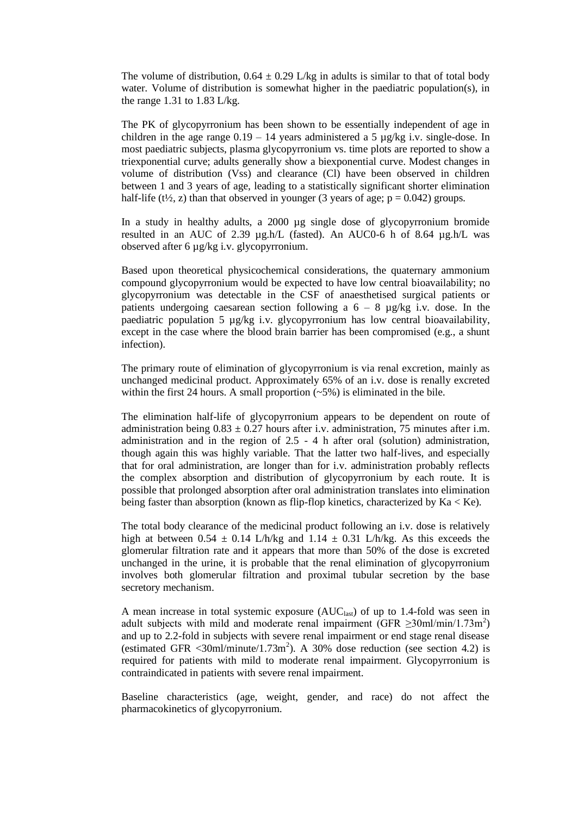The volume of distribution,  $0.64 \pm 0.29$  L/kg in adults is similar to that of total body water. Volume of distribution is somewhat higher in the paediatric population(s), in the range 1.31 to 1.83 L/kg.

The PK of glycopyrronium has been shown to be essentially independent of age in children in the age range  $0.19 - 14$  years administered a 5  $\mu$ g/kg i.v. single-dose. In most paediatric subjects, plasma glycopyrronium vs. time plots are reported to show a triexponential curve; adults generally show a biexponential curve. Modest changes in volume of distribution (Vss) and clearance (Cl) have been observed in children between 1 and 3 years of age, leading to a statistically significant shorter elimination half-life (t<sup> $\frac{1}{2}$ </sup>, z) than that observed in younger (3 years of age; p = 0.042) groups.

In a study in healthy adults, a 2000 µg single dose of glycopyrronium bromide resulted in an AUC of 2.39  $\mu$ g.h/L (fasted). An AUC0-6 h of 8.64  $\mu$ g.h/L was observed after 6 µg/kg i.v. glycopyrronium.

Based upon theoretical physicochemical considerations, the quaternary ammonium compound glycopyrronium would be expected to have low central bioavailability; no glycopyrronium was detectable in the CSF of anaesthetised surgical patients or patients undergoing caesarean section following a  $6 - 8$  µg/kg i.v. dose. In the paediatric population 5  $\mu$ g/kg i.v. glycopyrronium has low central bioavailability, except in the case where the blood brain barrier has been compromised (e.g., a shunt infection).

The primary route of elimination of glycopyrronium is via renal excretion, mainly as unchanged medicinal product. Approximately 65% of an i.v. dose is renally excreted within the first 24 hours. A small proportion  $(-5%)$  is eliminated in the bile.

The elimination half-life of glycopyrronium appears to be dependent on route of administration being  $0.83 \pm 0.27$  hours after i.v. administration, 75 minutes after i.m. administration and in the region of 2.5 - 4 h after oral (solution) administration, though again this was highly variable. That the latter two half-lives, and especially that for oral administration, are longer than for i.v. administration probably reflects the complex absorption and distribution of glycopyrronium by each route. It is possible that prolonged absorption after oral administration translates into elimination being faster than absorption (known as flip-flop kinetics, characterized by Ka < Ke).

The total body clearance of the medicinal product following an i.v. dose is relatively high at between 0.54  $\pm$  0.14 L/h/kg and 1.14  $\pm$  0.31 L/h/kg. As this exceeds the glomerular filtration rate and it appears that more than 50% of the dose is excreted unchanged in the urine, it is probable that the renal elimination of glycopyrronium involves both glomerular filtration and proximal tubular secretion by the base secretory mechanism.

A mean increase in total systemic exposure  $(AUC<sub>last</sub>)$  of up to 1.4-fold was seen in adult subjects with mild and moderate renal impairment  $(GFR \geq 30 \text{ml/min}/1.73 \text{m}^2)$ and up to 2.2-fold in subjects with severe renal impairment or end stage renal disease (estimated GFR  $\langle 30 \text{m} \rangle / \text{minute} / 1.73 \text{m}^2$ ). A 30% dose reduction (see section 4.2) is required for patients with mild to moderate renal impairment. Glycopyrronium is contraindicated in patients with severe renal impairment.

Baseline characteristics (age, weight, gender, and race) do not affect the pharmacokinetics of glycopyrronium.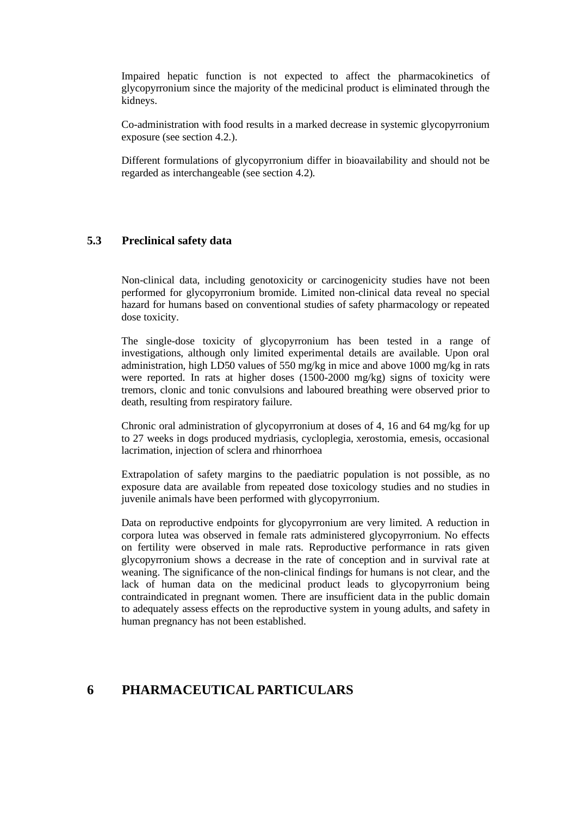Impaired hepatic function is not expected to affect the pharmacokinetics of glycopyrronium since the majority of the medicinal product is eliminated through the kidneys.

Co-administration with food results in a marked decrease in systemic glycopyrronium exposure (see section 4.2.).

Different formulations of glycopyrronium differ in bioavailability and should not be regarded as interchangeable (see section 4.2).

# **5.3 Preclinical safety data**

Non-clinical data, including genotoxicity or carcinogenicity studies have not been performed for glycopyrronium bromide. Limited non-clinical data reveal no special hazard for humans based on conventional studies of safety pharmacology or repeated dose toxicity.

The single-dose toxicity of glycopyrronium has been tested in a range of investigations, although only limited experimental details are available. Upon oral administration, high LD50 values of 550 mg/kg in mice and above 1000 mg/kg in rats were reported. In rats at higher doses (1500-2000 mg/kg) signs of toxicity were tremors, clonic and tonic convulsions and laboured breathing were observed prior to death, resulting from respiratory failure.

Chronic oral administration of glycopyrronium at doses of 4, 16 and 64 mg/kg for up to 27 weeks in dogs produced mydriasis, cycloplegia, xerostomia, emesis, occasional lacrimation, injection of sclera and rhinorrhoea

Extrapolation of safety margins to the paediatric population is not possible, as no exposure data are available from repeated dose toxicology studies and no studies in juvenile animals have been performed with glycopyrronium.

Data on reproductive endpoints for glycopyrronium are very limited. A reduction in corpora lutea was observed in female rats administered glycopyrronium. No effects on fertility were observed in male rats. Reproductive performance in rats given glycopyrronium shows a decrease in the rate of conception and in survival rate at weaning. The significance of the non-clinical findings for humans is not clear, and the lack of human data on the medicinal product leads to glycopyrronium being contraindicated in pregnant women. There are insufficient data in the public domain to adequately assess effects on the reproductive system in young adults, and safety in human pregnancy has not been established.

# **6 PHARMACEUTICAL PARTICULARS**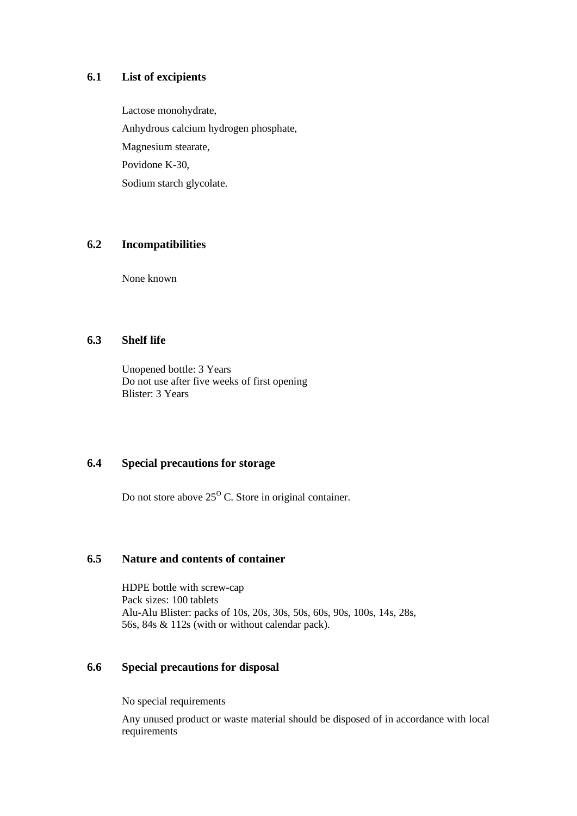# **6.1 List of excipients**

Lactose monohydrate, Anhydrous calcium hydrogen phosphate, Magnesium stearate, Povidone K-30, Sodium starch glycolate.

# **6.2 Incompatibilities**

None known

# **6.3 Shelf life**

Unopened bottle: 3 Years Do not use after five weeks of first opening Blister: 3 Years

# **6.4 Special precautions for storage**

Do not store above  $25^{\circ}$  C. Store in original container.

# **6.5 Nature and contents of container**

HDPE bottle with screw-cap Pack sizes: 100 tablets Alu-Alu Blister: packs of 10s, 20s, 30s, 50s, 60s, 90s, 100s, 14s, 28s, 56s, 84s & 112s (with or without calendar pack).

# **6.6 Special precautions for disposal**

No special requirements

Any unused product or waste material should be disposed of in accordance with local requirements